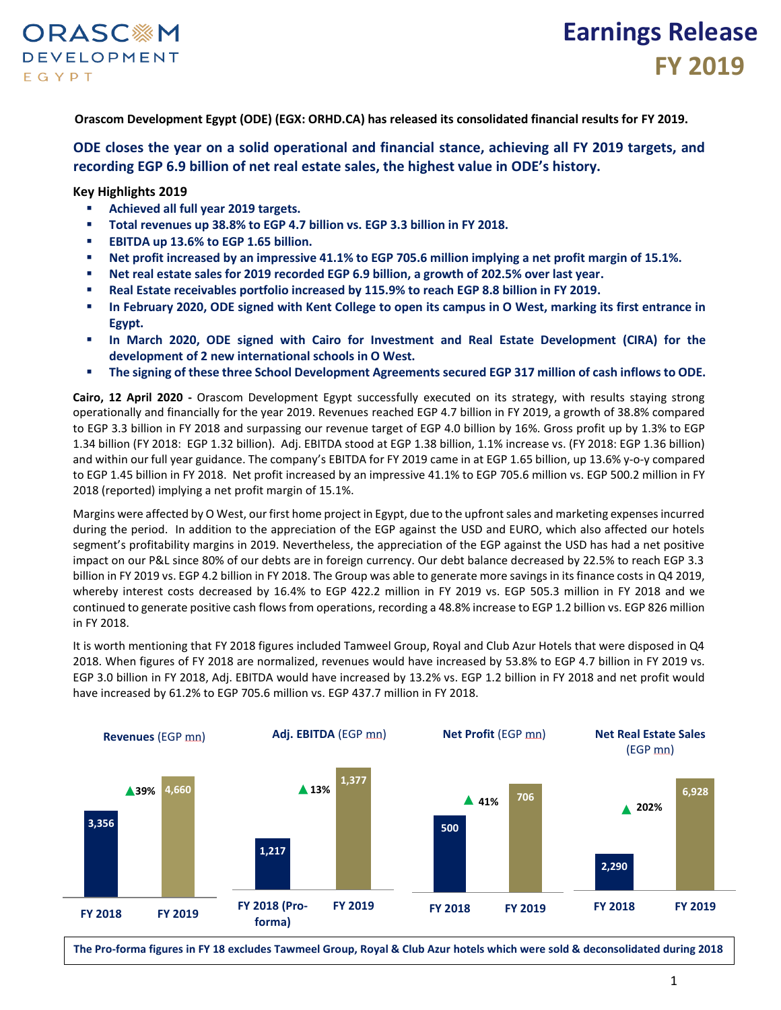

**Orascom Development Egypt (ODE) (EGX: ORHD.CA) has released its consolidated financial results for FY 2019.**

### **ODE closes the year on a solid operational and financial stance, achieving all FY 2019 targets, and recording EGP 6.9 billion of net real estate sales, the highest value in ODE's history.**

**Key Highlights 2019**

- **Achieved all full year 2019 targets.**
- **Total revenues up 38.8% to EGP 4.7 billion vs. EGP 3.3 billion in FY 2018.**
- **EBITDA up 13.6% to EGP 1.65 billion.**
- **Net profit increased by an impressive 41.1% to EGP 705.6 million implying a net profit margin of 15.1%.**
- **Net real estate sales for 2019 recorded EGP 6.9 billion, a growth of 202.5% over last year.**
- **Real Estate receivables portfolio increased by 115.9% to reach EGP 8.8 billion in FY 2019.**
- **In February 2020, ODE signed with Kent College to open its campus in O West, marking its first entrance in Egypt.**
- **In March 2020, ODE signed with Cairo for Investment and Real Estate Development (CIRA) for the development of 2 new international schools in O West.**
- **The signing of these three School Development Agreements secured EGP 317 million of cash inflows to ODE.**

**Cairo, 12 April 2020 -** Orascom Development Egypt successfully executed on its strategy, with results staying strong operationally and financially for the year 2019. Revenues reached EGP 4.7 billion in FY 2019, a growth of 38.8% compared to EGP 3.3 billion in FY 2018 and surpassing our revenue target of EGP 4.0 billion by 16%. Gross profit up by 1.3% to EGP 1.34 billion (FY 2018: EGP 1.32 billion). Adj. EBITDA stood at EGP 1.38 billion, 1.1% increase vs. (FY 2018: EGP 1.36 billion) and within our full year guidance. The company's EBITDA for FY 2019 came in at EGP 1.65 billion, up 13.6% y-o-y compared to EGP 1.45 billion in FY 2018. Net profit increased by an impressive 41.1% to EGP 705.6 million vs. EGP 500.2 million in FY 2018 (reported) implying a net profit margin of 15.1%.

Margins were affected by O West, our first home project in Egypt, due to the upfront sales and marketing expenses incurred during the period. In addition to the appreciation of the EGP against the USD and EURO, which also affected our hotels segment's profitability margins in 2019. Nevertheless, the appreciation of the EGP against the USD has had a net positive impact on our P&L since 80% of our debts are in foreign currency. Our debt balance decreased by 22.5% to reach EGP 3.3 billion in FY 2019 vs. EGP 4.2 billion in FY 2018. The Group was able to generate more savings in its finance costs in Q4 2019, whereby interest costs decreased by 16.4% to EGP 422.2 million in FY 2019 vs. EGP 505.3 million in FY 2018 and we continued to generate positive cash flows from operations, recording a 48.8% increase to EGP 1.2 billion vs. EGP 826 million in FY 2018.

It is worth mentioning that FY 2018 figures included Tamweel Group, Royal and Club Azur Hotels that were disposed in Q4 2018. When figures of FY 2018 are normalized, revenues would have increased by 53.8% to EGP 4.7 billion in FY 2019 vs. EGP 3.0 billion in FY 2018, Adj. EBITDA would have increased by 13.2% vs. EGP 1.2 billion in FY 2018 and net profit would have increased by 61.2% to EGP 705.6 million vs. EGP 437.7 million in FY 2018.



**The Pro-forma figures in FY 18 excludes Tawmeel Group, Royal & Club Azur hotels which were sold & deconsolidated during 2018**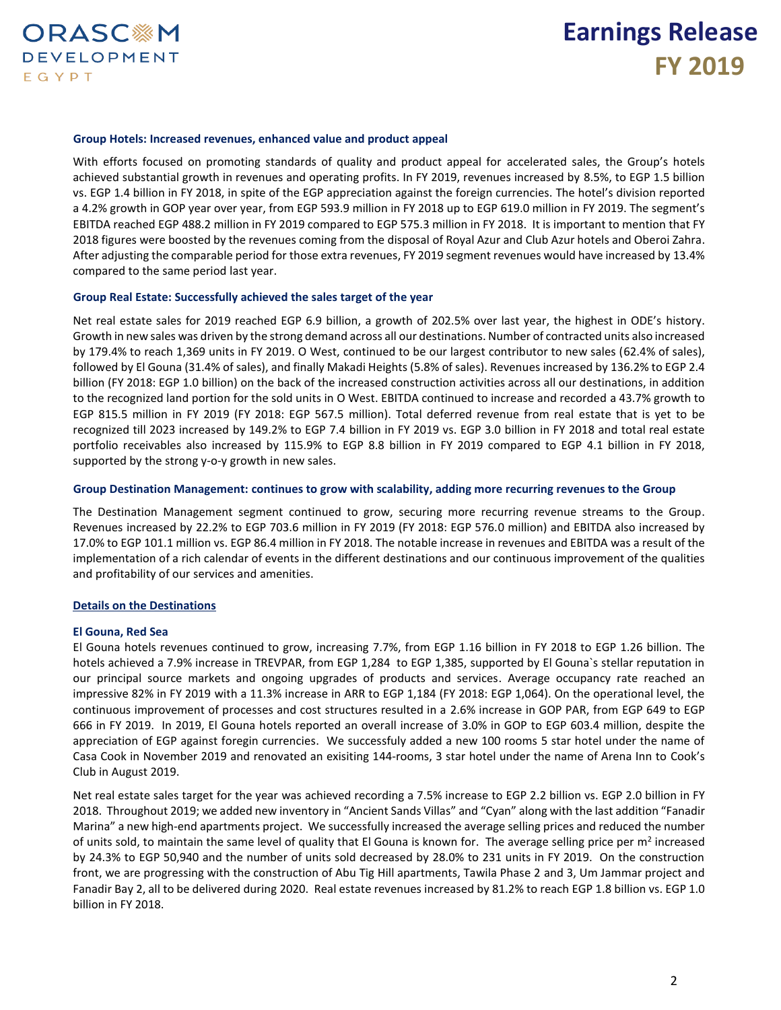

### **Group Hotels: Increased revenues, enhanced value and product appeal**

With efforts focused on promoting standards of quality and product appeal for accelerated sales, the Group's hotels achieved substantial growth in revenues and operating profits. In FY 2019, revenues increased by 8.5%, to EGP 1.5 billion vs. EGP 1.4 billion in FY 2018, in spite of the EGP appreciation against the foreign currencies. The hotel's division reported a 4.2% growth in GOP year over year, from EGP 593.9 million in FY 2018 up to EGP 619.0 million in FY 2019. The segment's EBITDA reached EGP 488.2 million in FY 2019 compared to EGP 575.3 million in FY 2018. It is important to mention that FY 2018 figures were boosted by the revenues coming from the disposal of Royal Azur and Club Azur hotels and Oberoi Zahra. After adjusting the comparable period for those extra revenues, FY 2019 segment revenues would have increased by 13.4% compared to the same period last year.

### **Group Real Estate: Successfully achieved the sales target of the year**

Net real estate sales for 2019 reached EGP 6.9 billion, a growth of 202.5% over last year, the highest in ODE's history. Growth in new sales was driven by the strong demand across all our destinations. Number of contracted units also increased by 179.4% to reach 1,369 units in FY 2019. O West, continued to be our largest contributor to new sales (62.4% of sales), followed by El Gouna (31.4% of sales), and finally Makadi Heights (5.8% of sales). Revenues increased by 136.2% to EGP 2.4 billion (FY 2018: EGP 1.0 billion) on the back of the increased construction activities across all our destinations, in addition to the recognized land portion for the sold units in O West. EBITDA continued to increase and recorded a 43.7% growth to EGP 815.5 million in FY 2019 (FY 2018: EGP 567.5 million). Total deferred revenue from real estate that is yet to be recognized till 2023 increased by 149.2% to EGP 7.4 billion in FY 2019 vs. EGP 3.0 billion in FY 2018 and total real estate portfolio receivables also increased by 115.9% to EGP 8.8 billion in FY 2019 compared to EGP 4.1 billion in FY 2018, supported by the strong y-o-y growth in new sales.

### **Group Destination Management: continues to grow with scalability, adding more recurring revenues to the Group**

The Destination Management segment continued to grow, securing more recurring revenue streams to the Group. Revenues increased by 22.2% to EGP 703.6 million in FY 2019 (FY 2018: EGP 576.0 million) and EBITDA also increased by 17.0% to EGP 101.1 million vs. EGP 86.4 million in FY 2018. The notable increase in revenues and EBITDA was a result of the implementation of a rich calendar of events in the different destinations and our continuous improvement of the qualities and profitability of our services and amenities.

#### **Details on the Destinations**

### **El Gouna, Red Sea**

El Gouna hotels revenues continued to grow, increasing 7.7%, from EGP 1.16 billion in FY 2018 to EGP 1.26 billion. The hotels achieved a 7.9% increase in TREVPAR, from EGP 1,284 to EGP 1,385, supported by El Gouna`s stellar reputation in our principal source markets and ongoing upgrades of products and services. Average occupancy rate reached an impressive 82% in FY 2019 with a 11.3% increase in ARR to EGP 1,184 (FY 2018: EGP 1,064). On the operational level, the continuous improvement of processes and cost structures resulted in a 2.6% increase in GOP PAR, from EGP 649 to EGP 666 in FY 2019. In 2019, El Gouna hotels reported an overall increase of 3.0% in GOP to EGP 603.4 million, despite the appreciation of EGP against foregin currencies. We successfuly added a new 100 rooms 5 star hotel under the name of Casa Cook in November 2019 and renovated an exisiting 144-rooms, 3 star hotel under the name of Arena Inn to Cook's Club in August 2019.

Net real estate sales target for the year was achieved recording a 7.5% increase to EGP 2.2 billion vs. EGP 2.0 billion in FY 2018. Throughout 2019; we added new inventory in "Ancient Sands Villas" and "Cyan" along with the last addition "Fanadir Marina" a new high-end apartments project. We successfully increased the average selling prices and reduced the number of units sold, to maintain the same level of quality that El Gouna is known for. The average selling price per m<sup>2</sup> increased by 24.3% to EGP 50,940 and the number of units sold decreased by 28.0% to 231 units in FY 2019. On the construction front, we are progressing with the construction of Abu Tig Hill apartments, Tawila Phase 2 and 3, Um Jammar project and Fanadir Bay 2, all to be delivered during 2020. Real estate revenues increased by 81.2% to reach EGP 1.8 billion vs. EGP 1.0 billion in FY 2018.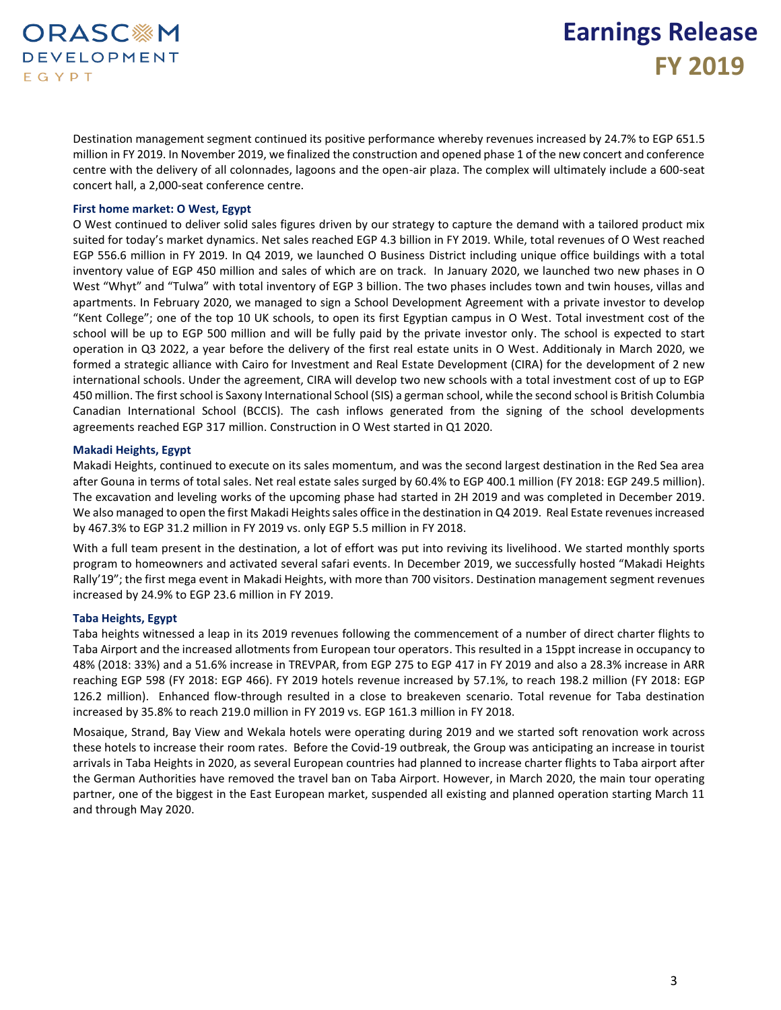### **ORASC※M DEVELOPMENT** EGYPT

## **Earnings Release FY 2019**

Destination management segment continued its positive performance whereby revenues increased by 24.7% to EGP 651.5 million in FY 2019. In November 2019, we finalized the construction and opened phase 1 of the new concert and conference centre with the delivery of all colonnades, lagoons and the open-air plaza. The complex will ultimately include a 600-seat concert hall, a 2,000-seat conference centre.

### **First home market: O West, Egypt**

O West continued to deliver solid sales figures driven by our strategy to capture the demand with a tailored product mix suited for today's market dynamics. Net sales reached EGP 4.3 billion in FY 2019. While, total revenues of O West reached EGP 556.6 million in FY 2019. In Q4 2019, we launched O Business District including unique office buildings with a total inventory value of EGP 450 million and sales of which are on track. In January 2020, we launched two new phases in O West "Whyt" and "Tulwa" with total inventory of EGP 3 billion. The two phases includes town and twin houses, villas and apartments. In February 2020, we managed to sign a School Development Agreement with a private investor to develop "Kent College"; one of the top 10 UK schools, to open its first Egyptian campus in O West. Total investment cost of the school will be up to EGP 500 million and will be fully paid by the private investor only. The school is expected to start operation in Q3 2022, a year before the delivery of the first real estate units in O West. Additionaly in March 2020, we formed a strategic alliance with Cairo for Investment and Real Estate Development (CIRA) for the development of 2 new international schools. Under the agreement, CIRA will develop two new schools with a total investment cost of up to EGP 450 million. The first school is Saxony International School (SIS) a german school, while the second school is British Columbia Canadian International School (BCCIS). The cash inflows generated from the signing of the school developments agreements reached EGP 317 million. Construction in O West started in Q1 2020.

### **Makadi Heights, Egypt**

Makadi Heights, continued to execute on its sales momentum, and was the second largest destination in the Red Sea area after Gouna in terms of total sales. Net real estate sales surged by 60.4% to EGP 400.1 million (FY 2018: EGP 249.5 million). The excavation and leveling works of the upcoming phase had started in 2H 2019 and was completed in December 2019. We also managed to open the first Makadi Heights sales office in the destination in Q4 2019. Real Estate revenues increased by 467.3% to EGP 31.2 million in FY 2019 vs. only EGP 5.5 million in FY 2018.

With a full team present in the destination, a lot of effort was put into reviving its livelihood. We started monthly sports program to homeowners and activated several safari events. In December 2019, we successfully hosted "Makadi Heights Rally'19"; the first mega event in Makadi Heights, with more than 700 visitors. Destination management segment revenues increased by 24.9% to EGP 23.6 million in FY 2019.

### **Taba Heights, Egypt**

Taba heights witnessed a leap in its 2019 revenues following the commencement of a number of direct charter flights to Taba Airport and the increased allotments from European tour operators. This resulted in a 15ppt increase in occupancy to 48% (2018: 33%) and a 51.6% increase in TREVPAR, from EGP 275 to EGP 417 in FY 2019 and also a 28.3% increase in ARR reaching EGP 598 (FY 2018: EGP 466). FY 2019 hotels revenue increased by 57.1%, to reach 198.2 million (FY 2018: EGP 126.2 million). Enhanced flow-through resulted in a close to breakeven scenario. Total revenue for Taba destination increased by 35.8% to reach 219.0 million in FY 2019 vs. EGP 161.3 million in FY 2018.

Mosaique, Strand, Bay View and Wekala hotels were operating during 2019 and we started soft renovation work across these hotels to increase their room rates. Before the Covid-19 outbreak, the Group was anticipating an increase in tourist arrivals in Taba Heights in 2020, as several European countries had planned to increase charter flights to Taba airport after the German Authorities have removed the travel ban on Taba Airport. However, in March 2020, the main tour operating partner, one of the biggest in the East European market, suspended all existing and planned operation starting March 11 and through May 2020.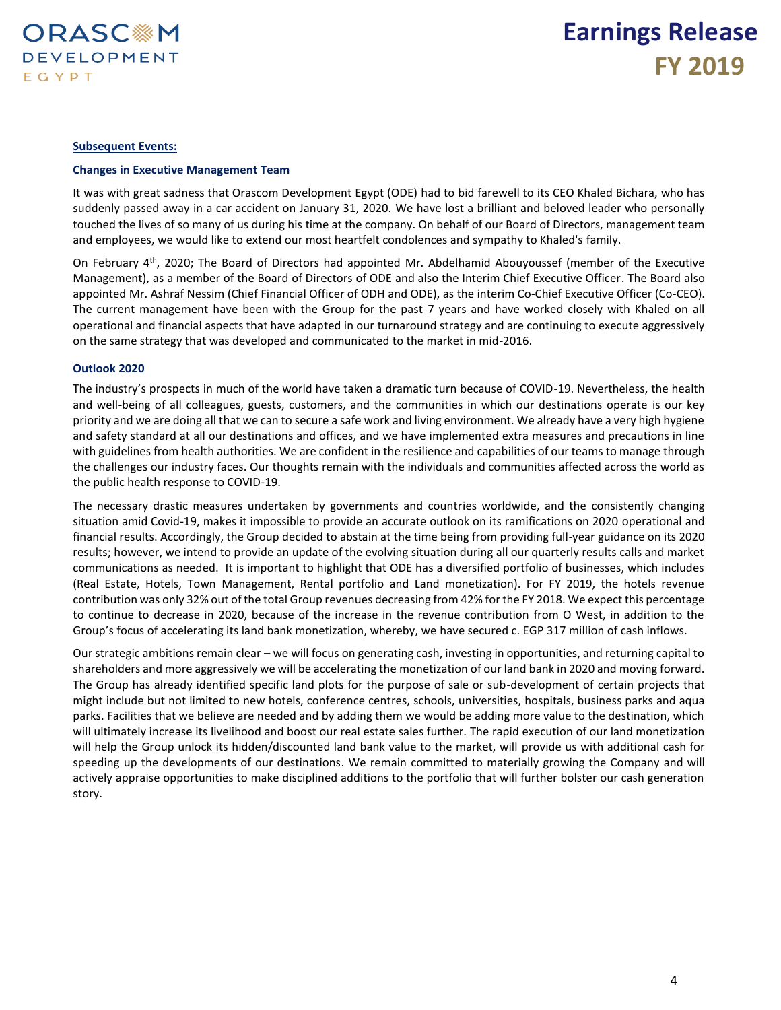

### **Subsequent Events:**

#### **Changes in Executive Management Team**

It was with great sadness that Orascom Development Egypt (ODE) had to bid farewell to its CEO Khaled Bichara, who has suddenly passed away in a car accident on January 31, 2020. We have lost a brilliant and beloved leader who personally touched the lives of so many of us during his time at the company. On behalf of our Board of Directors, management team and employees, we would like to extend our most heartfelt condolences and sympathy to Khaled's family.

On February 4<sup>th</sup>, 2020; The Board of Directors had appointed Mr. Abdelhamid Abouyoussef (member of the Executive Management), as a member of the Board of Directors of ODE and also the Interim Chief Executive Officer. The Board also appointed Mr. Ashraf Nessim (Chief Financial Officer of ODH and ODE), as the interim Co-Chief Executive Officer (Co-CEO). The current management have been with the Group for the past 7 years and have worked closely with Khaled on all operational and financial aspects that have adapted in our turnaround strategy and are continuing to execute aggressively on the same strategy that was developed and communicated to the market in mid-2016.

### **Outlook 2020**

The industry's prospects in much of the world have taken a dramatic turn because of COVID-19. Nevertheless, the health and well-being of all colleagues, guests, customers, and the communities in which our destinations operate is our key priority and we are doing all that we can to secure a safe work and living environment. We already have a very high hygiene and safety standard at all our destinations and offices, and we have implemented extra measures and precautions in line with guidelines from health authorities. We are confident in the resilience and capabilities of our teams to manage through the challenges our industry faces. Our thoughts remain with the individuals and communities affected across the world as the public health response to COVID-19.

The necessary drastic measures undertaken by governments and countries worldwide, and the consistently changing situation amid Covid-19, makes it impossible to provide an accurate outlook on its ramifications on 2020 operational and financial results. Accordingly, the Group decided to abstain at the time being from providing full-year guidance on its 2020 results; however, we intend to provide an update of the evolving situation during all our quarterly results calls and market communications as needed. It is important to highlight that ODE has a diversified portfolio of businesses, which includes (Real Estate, Hotels, Town Management, Rental portfolio and Land monetization). For FY 2019, the hotels revenue contribution was only 32% out of the total Group revenues decreasing from 42% for the FY 2018. We expect this percentage to continue to decrease in 2020, because of the increase in the revenue contribution from O West, in addition to the Group's focus of accelerating its land bank monetization, whereby, we have secured c. EGP 317 million of cash inflows.

Our strategic ambitions remain clear – we will focus on generating cash, investing in opportunities, and returning capital to shareholders and more aggressively we will be accelerating the monetization of our land bank in 2020 and moving forward. The Group has already identified specific land plots for the purpose of sale or sub-development of certain projects that might include but not limited to new hotels, conference centres, schools, universities, hospitals, business parks and aqua parks. Facilities that we believe are needed and by adding them we would be adding more value to the destination, which will ultimately increase its livelihood and boost our real estate sales further. The rapid execution of our land monetization will help the Group unlock its hidden/discounted land bank value to the market, will provide us with additional cash for speeding up the developments of our destinations. We remain committed to materially growing the Company and will actively appraise opportunities to make disciplined additions to the portfolio that will further bolster our cash generation story.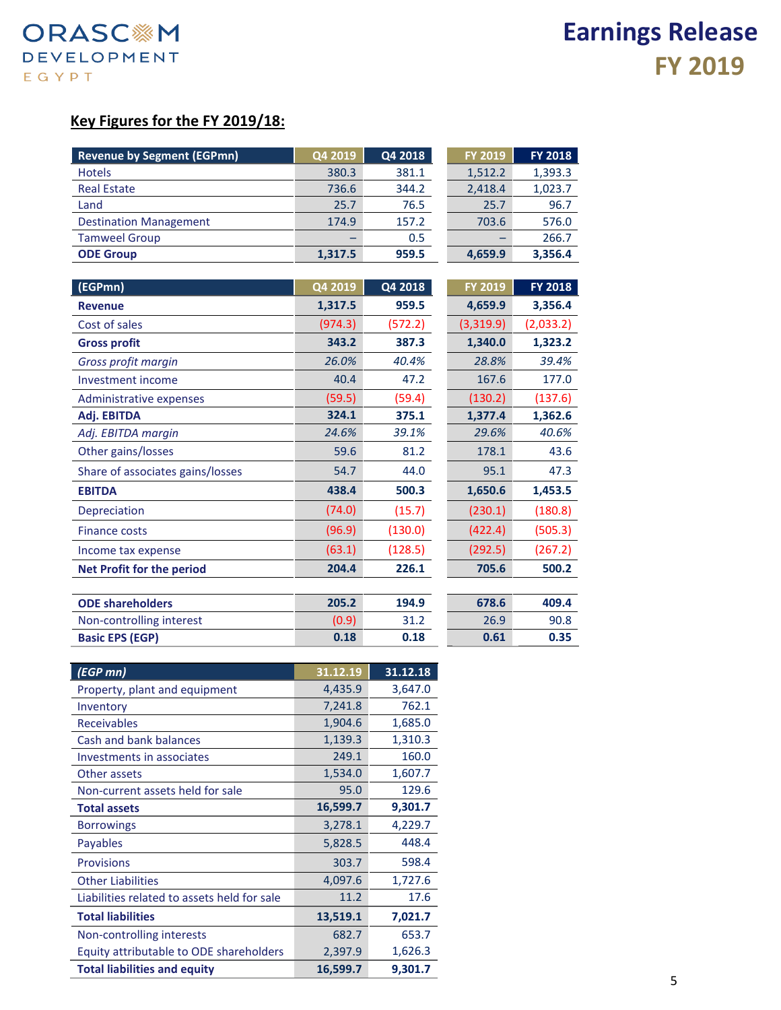### **Key Figures for the FY 2019/18:**

| <b>Revenue by Segment (EGPmn)</b> | Q4 2019 | Q4 2018 | <b>FY 2019</b> | <b>FY 2018</b> |
|-----------------------------------|---------|---------|----------------|----------------|
| <b>Hotels</b>                     | 380.3   | 381.1   | 1,512.2        | 1,393.3        |
| <b>Real Estate</b>                | 736.6   | 344.2   | 2,418.4        | 1,023.7        |
| Land                              | 25.7    | 76.5    | 25.7           | 96.7           |
| <b>Destination Management</b>     | 174.9   | 157.2   | 703.6          | 576.0          |
| <b>Tamweel Group</b>              |         | 0.5     |                | 266.7          |
| <b>ODE Group</b>                  | 1,317.5 | 959.5   | 4,659.9        | 3,356.4        |

| (EGPmn)                          | Q4 2019 | Q4 2018 | <b>FY 2019</b> | FY 2018   |
|----------------------------------|---------|---------|----------------|-----------|
| <b>Revenue</b>                   | 1,317.5 | 959.5   | 4,659.9        | 3,356.4   |
| Cost of sales                    | (974.3) | (572.2) | (3,319.9)      | (2,033.2) |
| <b>Gross profit</b>              | 343.2   | 387.3   | 1,340.0        | 1,323.2   |
| Gross profit margin              | 26.0%   | 40.4%   | 28.8%          | 39.4%     |
| Investment income                | 40.4    | 47.2    | 167.6          | 177.0     |
| Administrative expenses          | (59.5)  | (59.4)  | (130.2)        | (137.6)   |
| Adj. EBITDA                      | 324.1   | 375.1   | 1,377.4        | 1,362.6   |
| Adj. EBITDA margin               | 24.6%   | 39.1%   | 29.6%          | 40.6%     |
| Other gains/losses               | 59.6    | 81.2    | 178.1          | 43.6      |
| Share of associates gains/losses | 54.7    | 44.0    | 95.1           | 47.3      |
| <b>EBITDA</b>                    | 438.4   | 500.3   | 1,650.6        | 1,453.5   |
| Depreciation                     | (74.0)  | (15.7)  | (230.1)        | (180.8)   |
| <b>Finance costs</b>             | (96.9)  | (130.0) | (422.4)        | (505.3)   |
| Income tax expense               | (63.1)  | (128.5) | (292.5)        | (267.2)   |
| <b>Net Profit for the period</b> | 204.4   | 226.1   | 705.6          | 500.2     |
|                                  |         |         |                |           |
| <b>ODE shareholders</b>          | 205.2   | 194.9   | 678.6          | 409.4     |
| Non-controlling interest         | (0.9)   | 31.2    | 26.9           | 90.8      |

**Basic EPS (EGP) 0.18 0.18 0.61 0.35**

| (EGP mn)                                    | 31.12.19 | 31.12.18 |
|---------------------------------------------|----------|----------|
| Property, plant and equipment               | 4,435.9  | 3,647.0  |
| Inventory                                   | 7,241.8  | 762.1    |
| <b>Receivables</b>                          | 1,904.6  | 1,685.0  |
| Cash and bank balances                      | 1,139.3  | 1,310.3  |
| Investments in associates                   | 249.1    | 160.0    |
| Other assets                                | 1,534.0  | 1,607.7  |
| Non-current assets held for sale            | 95.0     | 129.6    |
| <b>Total assets</b>                         | 16,599.7 | 9,301.7  |
| <b>Borrowings</b>                           | 3,278.1  | 4,229.7  |
| <b>Payables</b>                             | 5,828.5  | 448.4    |
| <b>Provisions</b>                           | 303.7    | 598.4    |
| <b>Other Liabilities</b>                    | 4,097.6  | 1,727.6  |
| Liabilities related to assets held for sale | 11.2     | 17.6     |
| <b>Total liabilities</b>                    | 13,519.1 | 7,021.7  |
| Non-controlling interests                   | 682.7    | 653.7    |
| Equity attributable to ODE shareholders     | 2,397.9  | 1,626.3  |
| <b>Total liabilities and equity</b>         | 16,599.7 | 9,301.7  |